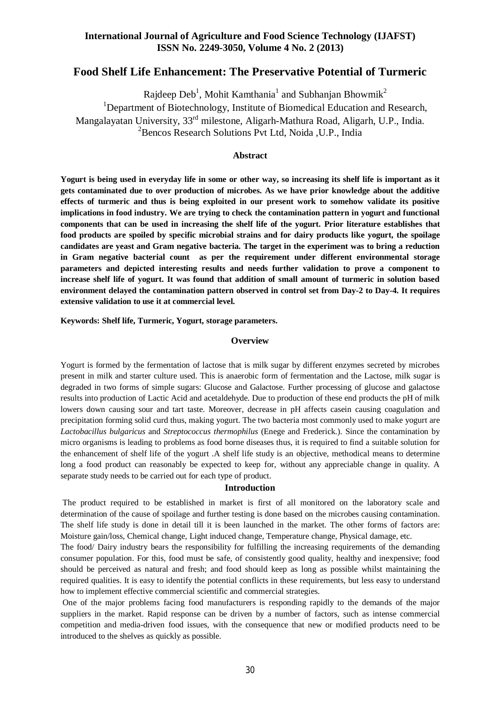## **International Journal of Agriculture and Food Science Technology (IJAFST) ISSN No. 2249-3050, Volume 4 No. 2 (2013)**

# **Food Shelf Life Enhancement: The Preservative Potential of Turmeric**

Rajdeep Deb<sup>1</sup>, Mohit Kamthania<sup>1</sup> and Subhanjan Bhowmik<sup>2</sup> <sup>1</sup>Department of Biotechnology, Institute of Biomedical Education and Research, Mangalayatan University, 33rd milestone, Aligarh-Mathura Road, Aligarh, U.P., India. <sup>2</sup>Bencos Research Solutions Pvt Ltd, Noida, U.P., India

### **Abstract**

**Yogurt is being used in everyday life in some or other way, so increasing its shelf life is important as it gets contaminated due to over production of microbes. As we have prior knowledge about the additive effects of turmeric and thus is being exploited in our present work to somehow validate its positive implications in food industry. We are trying to check the contamination pattern in yogurt and functional components that can be used in increasing the shelf life of the yogurt. Prior literature establishes that food products are spoiled by specific microbial strains and for dairy products like yogurt, the spoilage candidates are yeast and Gram negative bacteria. The target in the experiment was to bring a reduction in Gram negative bacterial count as per the requirement under different environmental storage parameters and depicted interesting results and needs further validation to prove a component to increase shelf life of yogurt. It was found that addition of small amount of turmeric in solution based environment delayed the contamination pattern observed in control set from Day-2 to Day-4. It requires extensive validation to use it at commercial level.** 

**Keywords: Shelf life, Turmeric, Yogurt, storage parameters.**

#### **Overview**

Yogurt is formed by the fermentation of lactose that is milk sugar by different enzymes secreted by microbes present in milk and starter culture used. This is anaerobic form of fermentation and the Lactose, milk sugar is degraded in two forms of simple sugars: Glucose and Galactose. Further processing of glucose and galactose results into production of Lactic Acid and acetaldehyde. Due to production of these end products the pH of milk lowers down causing sour and tart taste. Moreover, decrease in pH affects casein causing coagulation and precipitation forming solid curd thus, making yogurt. The two bacteria most commonly used to make yogurt are *Lactobacillus bulgaricus* and *Streptococcus thermophilus* (Enege and Frederick.). Since the contamination by micro organisms is leading to problems as food borne diseases thus, it is required to find a suitable solution for the enhancement of shelf life of the yogurt .A shelf life study is an objective, methodical means to determine long a food product can reasonably be expected to keep for, without any appreciable change in quality. A separate study needs to be carried out for each type of product.

#### **Introduction**

The product required to be established in market is first of all monitored on the laboratory scale and determination of the cause of spoilage and further testing is done based on the microbes causing contamination. The shelf life study is done in detail till it is been launched in the market. The other forms of factors are: Moisture gain/loss, Chemical change, Light induced change, Temperature change, Physical damage, etc.

The food/ Dairy industry bears the responsibility for fulfilling the increasing requirements of the demanding consumer population. For this, food must be safe, of consistently good quality, healthy and inexpensive; food should be perceived as natural and fresh; and food should keep as long as possible whilst maintaining the required qualities. It is easy to identify the potential conflicts in these requirements, but less easy to understand how to implement effective commercial scientific and commercial strategies.

One of the major problems facing food manufacturers is responding rapidly to the demands of the major suppliers in the market. Rapid response can be driven by a number of factors, such as intense commercial competition and media-driven food issues, with the consequence that new or modified products need to be introduced to the shelves as quickly as possible.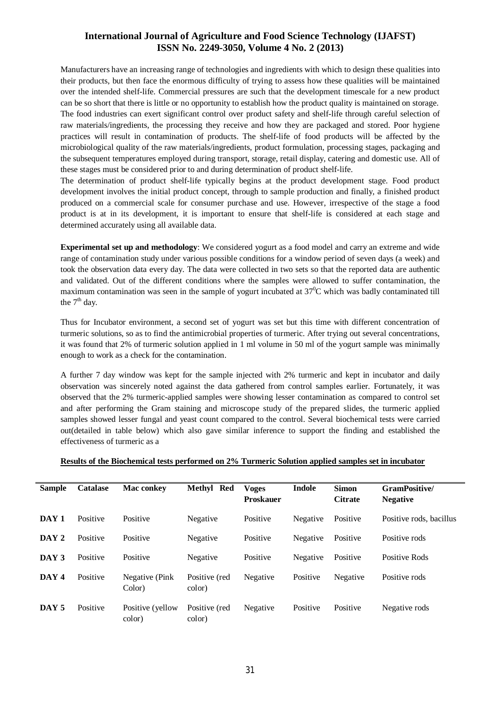## **International Journal of Agriculture and Food Science Technology (IJAFST) ISSN No. 2249-3050, Volume 4 No. 2 (2013)**

Manufacturers have an increasing range of technologies and ingredients with which to design these qualities into their products, but then face the enormous difficulty of trying to assess how these qualities will be maintained over the intended shelf-life. Commercial pressures are such that the development timescale for a new product can be so short that there is little or no opportunity to establish how the product quality is maintained on storage. The food industries can exert significant control over product safety and shelf-life through careful selection of raw materials/ingredients, the processing they receive and how they are packaged and stored. Poor hygiene practices will result in contamination of products. The shelf-life of food products will be affected by the microbiological quality of the raw materials/ingredients, product formulation, processing stages, packaging and the subsequent temperatures employed during transport, storage, retail display, catering and domestic use. All of these stages must be considered prior to and during determination of product shelf-life.

The determination of product shelf-life typically begins at the product development stage. Food product development involves the initial product concept, through to sample production and finally, a finished product produced on a commercial scale for consumer purchase and use. However, irrespective of the stage a food product is at in its development, it is important to ensure that shelf-life is considered at each stage and determined accurately using all available data.

**Experimental set up and methodology**: We considered yogurt as a food model and carry an extreme and wide range of contamination study under various possible conditions for a window period of seven days (a week) and took the observation data every day. The data were collected in two sets so that the reported data are authentic and validated. Out of the different conditions where the samples were allowed to suffer contamination, the maximum contamination was seen in the sample of yogurt incubated at  $37^{\circ}$ C which was badly contaminated till the  $7<sup>th</sup>$  day.

Thus for Incubator environment, a second set of yogurt was set but this time with different concentration of turmeric solutions, so as to find the antimicrobial properties of turmeric. After trying out several concentrations, it was found that 2% of turmeric solution applied in 1 ml volume in 50 ml of the yogurt sample was minimally enough to work as a check for the contamination.

A further 7 day window was kept for the sample injected with 2% turmeric and kept in incubator and daily observation was sincerely noted against the data gathered from control samples earlier. Fortunately, it was observed that the 2% turmeric-applied samples were showing lesser contamination as compared to control set and after performing the Gram staining and microscope study of the prepared slides, the turmeric applied samples showed lesser fungal and yeast count compared to the control. Several biochemical tests were carried out(detailed in table below) which also gave similar inference to support the finding and established the effectiveness of turmeric as a

#### **Results of the Biochemical tests performed on 2% Turmeric Solution applied samples set in incubator**

| <b>Sample</b>    | <b>Catalase</b> | <b>Mac</b> conkey          | Methyl Red              | <b>Voges</b><br><b>Proskauer</b> | <b>Indole</b> | <b>Simon</b><br><b>Citrate</b> | <b>GramPositive/</b><br><b>Negative</b> |
|------------------|-----------------|----------------------------|-------------------------|----------------------------------|---------------|--------------------------------|-----------------------------------------|
| DAY <sub>1</sub> | Positive        | Positive                   | Negative                | Positive                         | Negative      | Positive                       | Positive rods, bacillus                 |
| DAY 2            | Positive        | Positive                   | Negative                | Positive                         | Negative      | Positive                       | Positive rods                           |
| DAY 3            | Positive        | Positive                   | Negative                | Positive                         | Negative      | Positive                       | Positive Rods                           |
| DAY 4            | Positive        | Negative (Pink<br>Color)   | Positive (red<br>color) | Negative                         | Positive      | Negative                       | Positive rods                           |
| DAY <sub>5</sub> | Positive        | Positive (yellow<br>color) | Positive (red<br>color) | Negative                         | Positive      | Positive                       | Negative rods                           |